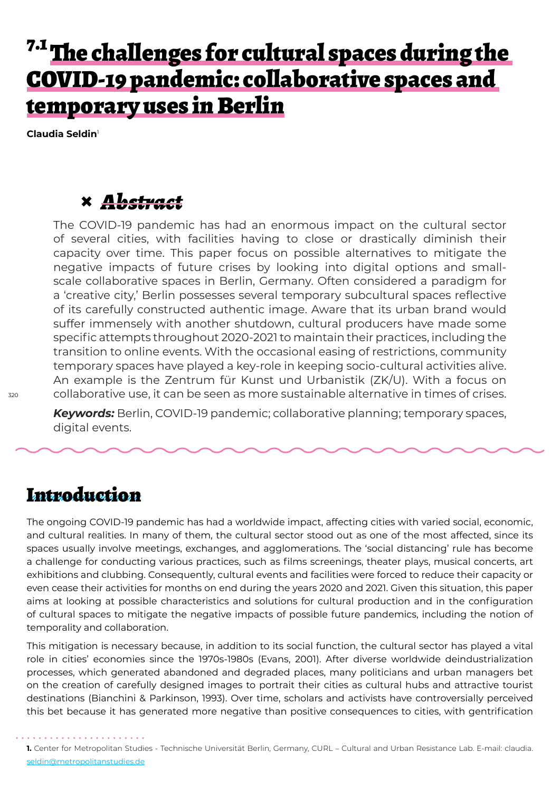# <sup>7.1</sup> The challenges for cultural spaces during the COVID-19 pandemic: collaborative spaces and temporary uses in Berlin

**Claudia Seldin**<sup>1</sup>

#### **×** *Abstract*

The COVID-19 pandemic has had an enormous impact on the cultural sector of several cities, with facilities having to close or drastically diminish their capacity over time. This paper focus on possible alternatives to mitigate the negative impacts of future crises by looking into digital options and smallscale collaborative spaces in Berlin, Germany. Often considered a paradigm for a 'creative city,' Berlin possesses several temporary subcultural spaces reflective of its carefully constructed authentic image. Aware that its urban brand would suffer immensely with another shutdown, cultural producers have made some specific attempts throughout 2020-2021 to maintain their practices, including the transition to online events. With the occasional easing of restrictions, community temporary spaces have played a key-role in keeping socio-cultural activities alive. An example is the Zentrum für Kunst und Urbanistik (ZK/U). With a focus on collaborative use, it can be seen as more sustainable alternative in times of crises.

*Keywords:* Berlin, COVID-19 pandemic; collaborative planning; temporary spaces, digital events.

### Introduction

The ongoing COVID-19 pandemic has had a worldwide impact, affecting cities with varied social, economic, and cultural realities. In many of them, the cultural sector stood out as one of the most affected, since its spaces usually involve meetings, exchanges, and agglomerations. The 'social distancing' rule has become a challenge for conducting various practices, such as films screenings, theater plays, musical concerts, art exhibitions and clubbing. Consequently, cultural events and facilities were forced to reduce their capacity or even cease their activities for months on end during the years 2020 and 2021. Given this situation, this paper aims at looking at possible characteristics and solutions for cultural production and in the configuration of cultural spaces to mitigate the negative impacts of possible future pandemics, including the notion of temporality and collaboration.

This mitigation is necessary because, in addition to its social function, the cultural sector has played a vital role in cities' economies since the 1970s-1980s (Evans, 2001). After diverse worldwide deindustrialization processes, which generated abandoned and degraded places, many politicians and urban managers bet on the creation of carefully designed images to portrait their cities as cultural hubs and attractive tourist destinations (Bianchini & Parkinson, 1993). Over time, scholars and activists have controversially perceived this bet because it has generated more negative than positive consequences to cities, with gentrification

**<sup>1.</sup>** Center for Metropolitan Studies - Technische Universität Berlin, Germany, CURL – Cultural and Urban Resistance Lab. E-mail: claudia. seldin@metropolitanstudies.de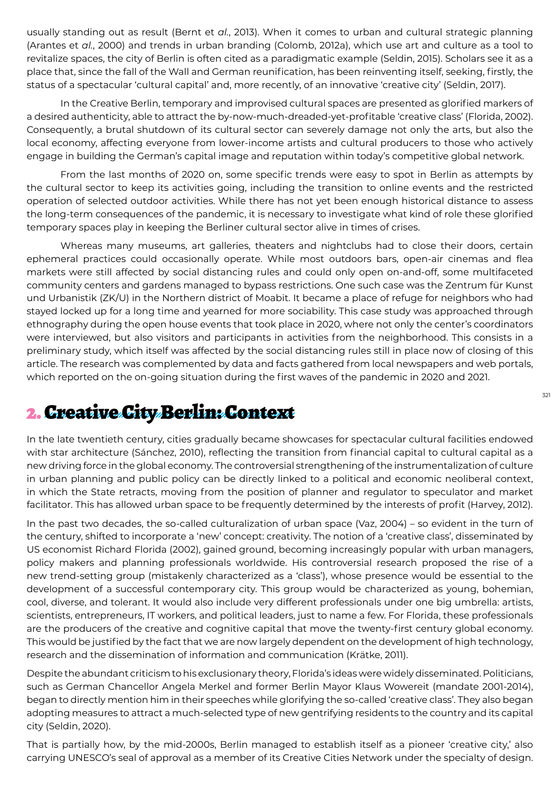usually standing out as result (Bernt et *al.*, 2013). When it comes to urban and cultural strategic planning (Arantes et *al.*, 2000) and trends in urban branding (Colomb, 2012a), which use art and culture as a tool to revitalize spaces, the city of Berlin is often cited as a paradigmatic example (Seldin, 2015). Scholars see it as a place that, since the fall of the Wall and German reunification, has been reinventing itself, seeking, firstly, the status of a spectacular 'cultural capital' and, more recently, of an innovative 'creative city' (Seldin, 2017).

In the Creative Berlin, temporary and improvised cultural spaces are presented as glorified markers of a desired authenticity, able to attract the by-now-much-dreaded-yet-profitable 'creative class' (Florida, 2002). Consequently, a brutal shutdown of its cultural sector can severely damage not only the arts, but also the local economy, affecting everyone from lower-income artists and cultural producers to those who actively engage in building the German's capital image and reputation within today's competitive global network.

From the last months of 2020 on, some specific trends were easy to spot in Berlin as attempts by the cultural sector to keep its activities going, including the transition to online events and the restricted operation of selected outdoor activities. While there has not yet been enough historical distance to assess the long-term consequences of the pandemic, it is necessary to investigate what kind of role these glorified temporary spaces play in keeping the Berliner cultural sector alive in times of crises.

Whereas many museums, art galleries, theaters and nightclubs had to close their doors, certain ephemeral practices could occasionally operate. While most outdoors bars, open-air cinemas and flea markets were still affected by social distancing rules and could only open on-and-off, some multifaceted community centers and gardens managed to bypass restrictions. One such case was the Zentrum für Kunst und Urbanistik (ZK/U) in the Northern district of Moabit. It became a place of refuge for neighbors who had stayed locked up for a long time and yearned for more sociability. This case study was approached through ethnography during the open house events that took place in 2020, where not only the center's coordinators were interviewed, but also visitors and participants in activities from the neighborhood. This consists in a preliminary study, which itself was affected by the social distancing rules still in place now of closing of this article. The research was complemented by data and facts gathered from local newspapers and web portals, which reported on the on-going situation during the first waves of the pandemic in 2020 and 2021.

## 2. Creative City Berlin: Context

In the late twentieth century, cities gradually became showcases for spectacular cultural facilities endowed with star architecture (Sánchez, 2010), reflecting the transition from financial capital to cultural capital as a new driving force in the global economy. The controversial strengthening of the instrumentalization of culture in urban planning and public policy can be directly linked to a political and economic neoliberal context, in which the State retracts, moving from the position of planner and regulator to speculator and market facilitator. This has allowed urban space to be frequently determined by the interests of profit (Harvey, 2012).

In the past two decades, the so-called culturalization of urban space (Vaz, 2004) – so evident in the turn of the century, shifted to incorporate a 'new' concept: creativity. The notion of a 'creative class', disseminated by US economist Richard Florida (2002), gained ground, becoming increasingly popular with urban managers, policy makers and planning professionals worldwide. His controversial research proposed the rise of a new trend-setting group (mistakenly characterized as a 'class'), whose presence would be essential to the development of a successful contemporary city. This group would be characterized as young, bohemian, cool, diverse, and tolerant. It would also include very different professionals under one big umbrella: artists, scientists, entrepreneurs, IT workers, and political leaders, just to name a few. For Florida, these professionals are the producers of the creative and cognitive capital that move the twenty-first century global economy. This would be justified by the fact that we are now largely dependent on the development of high technology, research and the dissemination of information and communication (Krätke, 2011).

Despite the abundant criticism to his exclusionary theory, Florida's ideas were widely disseminated. Politicians, such as German Chancellor Angela Merkel and former Berlin Mayor Klaus Wowereit (mandate 2001-2014), began to directly mention him in their speeches while glorifying the so-called 'creative class'. They also began adopting measures to attract a much-selected type of new gentrifying residents to the country and its capital city (Seldin, 2020).

That is partially how, by the mid-2000s, Berlin managed to establish itself as a pioneer 'creative city,' also carrying UNESCO's seal of approval as a member of its Creative Cities Network under the specialty of design.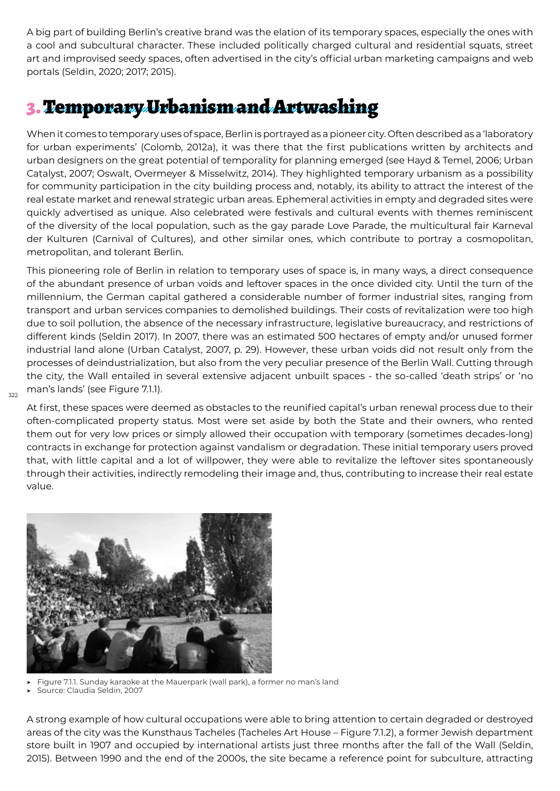A big part of building Berlin's creative brand was the elation of its temporary spaces, especially the ones with a cool and subcultural character. These included politically charged cultural and residential squats, street art and improvised seedy spaces, often advertised in the city's official urban marketing campaigns and web portals (Seldin, 2020; 2017; 2015).

## 3. Temporary Urbanism and Artwashing

When it comes to temporary uses of space, Berlin is portrayed as a pioneer city. Often described as a 'laboratory for urban experiments' (Colomb, 2012a), it was there that the first publications written by architects and urban designers on the great potential of temporality for planning emerged (see Hayd & Temel, 2006; Urban Catalyst, 2007; Oswalt, Overmeyer & Misselwitz, 2014). They highlighted temporary urbanism as a possibility for community participation in the city building process and, notably, its ability to attract the interest of the real estate market and renewal strategic urban areas. Ephemeral activities in empty and degraded sites were quickly advertised as unique. Also celebrated were festivals and cultural events with themes reminiscent of the diversity of the local population, such as the gay parade Love Parade, the multicultural fair Karneval der Kulturen (Carnival of Cultures), and other similar ones, which contribute to portray a cosmopolitan, metropolitan, and tolerant Berlin.

This pioneering role of Berlin in relation to temporary uses of space is, in many ways, a direct consequence of the abundant presence of urban voids and leftover spaces in the once divided city. Until the turn of the millennium, the German capital gathered a considerable number of former industrial sites, ranging from transport and urban services companies to demolished buildings. Their costs of revitalization were too high due to soil pollution, the absence of the necessary infrastructure, legislative bureaucracy, and restrictions of different kinds (Seldin 2017). In 2007, there was an estimated 500 hectares of empty and/or unused former industrial land alone (Urban Catalyst, 2007, p. 29). However, these urban voids did not result only from the processes of deindustrialization, but also from the very peculiar presence of the Berlin Wall. Cutting through the city, the Wall entailed in several extensive adjacent unbuilt spaces - the so-called 'death strips' or 'no man's lands' (see Figure 7.1.1).

At first, these spaces were deemed as obstacles to the reunified capital's urban renewal process due to their often-complicated property status. Most were set aside by both the State and their owners, who rented them out for very low prices or simply allowed their occupation with temporary (sometimes decades-long) contracts in exchange for protection against vandalism or degradation. These initial temporary users proved that, with little capital and a lot of willpower, they were able to revitalize the leftover sites spontaneously through their activities, indirectly remodeling their image and, thus, contributing to increase their real estate value.



Figure 7.1.1. Sunday karaoke at the Mauerpark (wall park), a former no man's land

Source: Claudia Seldin, 2007

 $322$ 

A strong example of how cultural occupations were able to bring attention to certain degraded or destroyed areas of the city was the Kunsthaus Tacheles (Tacheles Art House – Figure 7.1.2), a former Jewish department store built in 1907 and occupied by international artists just three months after the fall of the Wall (Seldin, 2015). Between 1990 and the end of the 2000s, the site became a reference point for subculture, attracting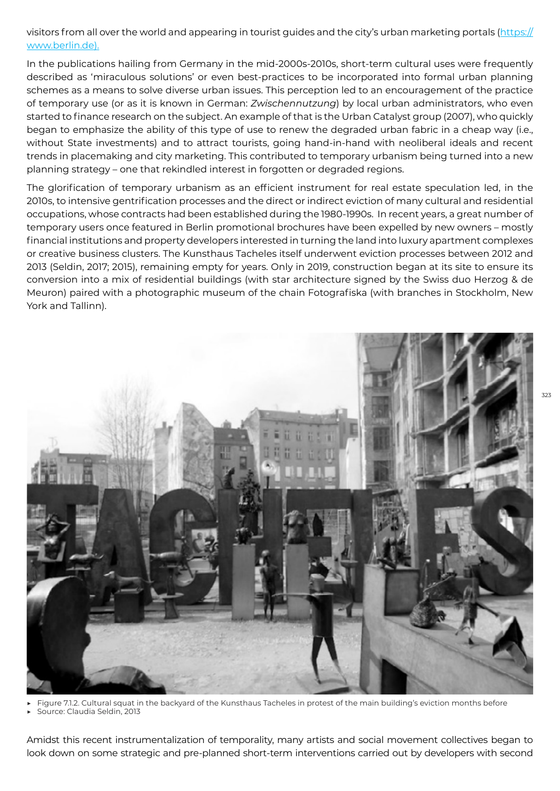visitors from all over the world and appearing in tourist guides and the city's urban marketing portals (https:// www.berlin.de).

In the publications hailing from Germany in the mid-2000s-2010s, short-term cultural uses were frequently described as 'miraculous solutions' or even best-practices to be incorporated into formal urban planning schemes as a means to solve diverse urban issues. This perception led to an encouragement of the practice of temporary use (or as it is known in German: *Zwischennutzung*) by local urban administrators, who even started to finance research on the subject. An example of that is the Urban Catalyst group (2007), who quickly began to emphasize the ability of this type of use to renew the degraded urban fabric in a cheap way (i.e., without State investments) and to attract tourists, going hand-in-hand with neoliberal ideals and recent trends in placemaking and city marketing. This contributed to temporary urbanism being turned into a new planning strategy – one that rekindled interest in forgotten or degraded regions.

The glorification of temporary urbanism as an efficient instrument for real estate speculation led, in the 2010s, to intensive gentrification processes and the direct or indirect eviction of many cultural and residential occupations, whose contracts had been established during the 1980-1990s. In recent years, a great number of temporary users once featured in Berlin promotional brochures have been expelled by new owners – mostly financial institutions and property developers interested in turning the land into luxury apartment complexes or creative business clusters. The Kunsthaus Tacheles itself underwent eviction processes between 2012 and 2013 (Seldin, 2017; 2015), remaining empty for years. Only in 2019, construction began at its site to ensure its conversion into a mix of residential buildings (with star architecture signed by the Swiss duo Herzog & de Meuron) paired with a photographic museum of the chain Fotografiska (with branches in Stockholm, New York and Tallinn).



Figure 7.1.2. Cultural squat in the backyard of the Kunsthaus Tacheles in protest of the main building's eviction months before

Source: Claudia Seldin, 2013

Amidst this recent instrumentalization of temporality, many artists and social movement collectives began to look down on some strategic and pre-planned short-term interventions carried out by developers with second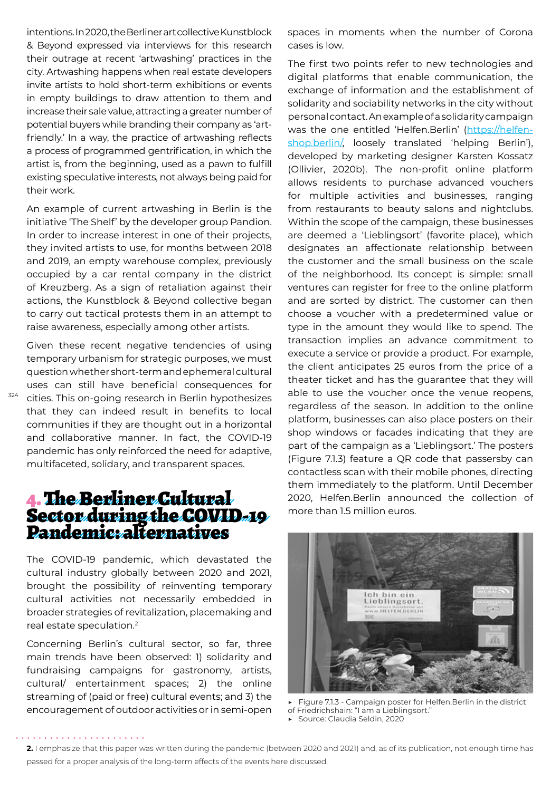intentions. In 2020, the Berliner art collective Kunstblock & Beyond expressed via interviews for this research their outrage at recent 'artwashing' practices in the city. Artwashing happens when real estate developers invite artists to hold short-term exhibitions or events in empty buildings to draw attention to them and increase their sale value, attracting a greater number of potential buyers while branding their company as 'artfriendly.' In a way, the practice of artwashing reflects a process of programmed gentrification, in which the artist is, from the beginning, used as a pawn to fulfill existing speculative interests, not always being paid for their work.

An example of current artwashing in Berlin is the initiative 'The Shelf' by the developer group Pandion. In order to increase interest in one of their projects, they invited artists to use, for months between 2018 and 2019, an empty warehouse complex, previously occupied by a car rental company in the district of Kreuzberg. As a sign of retaliation against their actions, the Kunstblock & Beyond collective began to carry out tactical protests them in an attempt to raise awareness, especially among other artists.

Given these recent negative tendencies of using temporary urbanism for strategic purposes, we must question whether short-term and ephemeral cultural uses can still have beneficial consequences for cities. This on-going research in Berlin hypothesizes that they can indeed result in benefits to local communities if they are thought out in a horizontal and collaborative manner. In fact, the COVID-19 pandemic has only reinforced the need for adaptive, multifaceted, solidary, and transparent spaces.

#### 4. The Berliner Cultural Sector during the COVID-19 Pandemic: alternatives

The COVID-19 pandemic, which devastated the cultural industry globally between 2020 and 2021, brought the possibility of reinventing temporary cultural activities not necessarily embedded in broader strategies of revitalization, placemaking and real estate speculation.<sup>2</sup>

Concerning Berlin's cultural sector, so far, three main trends have been observed: 1) solidarity and fundraising campaigns for gastronomy, artists, cultural/ entertainment spaces; 2) the online streaming of (paid or free) cultural events; and 3) the encouragement of outdoor activities or in semi-open spaces in moments when the number of Corona cases is low.

The first two points refer to new technologies and digital platforms that enable communication, the exchange of information and the establishment of solidarity and sociability networks in the city without personal contact. An example of a solidarity campaign was the one entitled 'Helfen.Berlin' (https://helfenshop.berlin/, loosely translated 'helping Berlin'), developed by marketing designer Karsten Kossatz (Ollivier, 2020b). The non-profit online platform allows residents to purchase advanced vouchers for multiple activities and businesses, ranging from restaurants to beauty salons and nightclubs. Within the scope of the campaign, these businesses are deemed a 'Lieblingsort' (favorite place), which designates an affectionate relationship between the customer and the small business on the scale of the neighborhood. Its concept is simple: small ventures can register for free to the online platform and are sorted by district. The customer can then choose a voucher with a predetermined value or type in the amount they would like to spend. The transaction implies an advance commitment to execute a service or provide a product. For example, the client anticipates 25 euros from the price of a theater ticket and has the guarantee that they will able to use the voucher once the venue reopens, regardless of the season. In addition to the online platform, businesses can also place posters on their shop windows or facades indicating that they are part of the campaign as a 'Lieblingsort.' The posters (Figure 7.1.3) feature a QR code that passersby can contactless scan with their mobile phones, directing them immediately to the platform. Until December 2020, Helfen.Berlin announced the collection of more than 1.5 million euros.



Figure 7.1.3 - Campaign poster for Helfen.Berlin in the district of Friedrichshain: "I am a Lieblingsort." ▶ Source: Claudia Seldin, 2020

**<sup>2.</sup>** I emphasize that this paper was written during the pandemic (between 2020 and 2021) and, as of its publication, not enough time has passed for a proper analysis of the long-term effects of the events here discussed.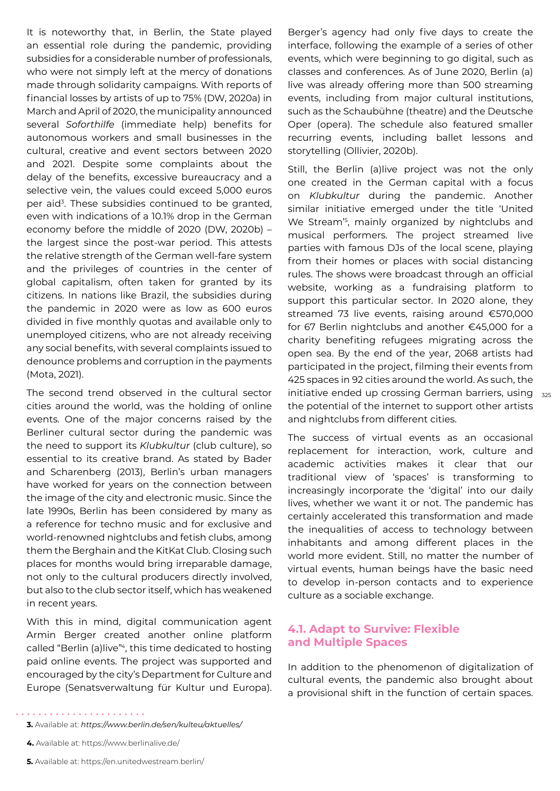It is noteworthy that, in Berlin, the State played an essential role during the pandemic, providing subsidies for a considerable number of professionals, who were not simply left at the mercy of donations made through solidarity campaigns. With reports of financial losses by artists of up to 75% (DW, 2020a) in March and April of 2020, the municipality announced several *Soforthilfe* (immediate help) benefits for autonomous workers and small businesses in the cultural, creative and event sectors between 2020 and 2021. Despite some complaints about the delay of the benefits, excessive bureaucracy and a selective vein, the values could exceed 5,000 euros per aid<sup>3</sup>. These subsidies continued to be granted, even with indications of a 10.1% drop in the German economy before the middle of 2020 (DW, 2020b) – the largest since the post-war period. This attests the relative strength of the German well-fare system and the privileges of countries in the center of global capitalism, often taken for granted by its citizens. In nations like Brazil, the subsidies during the pandemic in 2020 were as low as 600 euros divided in five monthly quotas and available only to unemployed citizens, who are not already receiving any social benefits, with several complaints issued to denounce problems and corruption in the payments (Mota, 2021).

The second trend observed in the cultural sector cities around the world, was the holding of online events. One of the major concerns raised by the Berliner cultural sector during the pandemic was the need to support its *Klubkultur* (club culture), so essential to its creative brand. As stated by Bader and Scharenberg (2013), Berlin's urban managers have worked for years on the connection between the image of the city and electronic music. Since the late 1990s, Berlin has been considered by many as a reference for techno music and for exclusive and world-renowned nightclubs and fetish clubs, among them the Berghain and the KitKat Club. Closing such places for months would bring irreparable damage, not only to the cultural producers directly involved, but also to the club sector itself, which has weakened in recent years.

With this in mind, digital communication agent Armin Berger created another online platform called "Berlin (a)live"<sup>4</sup>, this time dedicated to hosting paid online events. The project was supported and encouraged by the city's Department for Culture and Europe (Senatsverwaltung für Kultur und Europa).

Berger's agency had only five days to create the interface, following the example of a series of other events, which were beginning to go digital, such as classes and conferences. As of June 2020, Berlin (a) live was already offering more than 500 streaming events, including from major cultural institutions, such as the Schaubühne (theatre) and the Deutsche Oper (opera). The schedule also featured smaller recurring events, including ballet lessons and storytelling (Ollivier, 2020b).

initiative ended up crossing German barriers, using 325 Still, the Berlin (a)live project was not the only one created in the German capital with a focus on *Klubkultur* during the pandemic. Another similar initiative emerged under the title 'United We Stream'<sup>5</sup> , mainly organized by nightclubs and musical performers. The project streamed live parties with famous DJs of the local scene, playing from their homes or places with social distancing rules. The shows were broadcast through an official website, working as a fundraising platform to support this particular sector. In 2020 alone, they streamed 73 live events, raising around €570,000 for 67 Berlin nightclubs and another €45,000 for a charity benefiting refugees migrating across the open sea. By the end of the year, 2068 artists had participated in the project, filming their events from 425 spaces in 92 cities around the world. As such, the the potential of the internet to support other artists and nightclubs from different cities.

The success of virtual events as an occasional replacement for interaction, work, culture and academic activities makes it clear that our traditional view of 'spaces' is transforming to increasingly incorporate the 'digital' into our daily lives, whether we want it or not. The pandemic has certainly accelerated this transformation and made the inequalities of access to technology between inhabitants and among different places in the world more evident. Still, no matter the number of virtual events, human beings have the basic need to develop in-person contacts and to experience culture as a sociable exchange.

#### **4.1. Adapt to Survive: Flexible and Multiple Spaces**

In addition to the phenomenon of digitalization of cultural events, the pandemic also brought about a provisional shift in the function of certain spaces.

- **4.** Available at: https://www.berlinalive.de/
- **5.** Available at: https://en.unitedwestream.berlin/

**<sup>3.</sup>** Available at: *<https://www.berlin.de/sen/kulteu/aktuelles/>*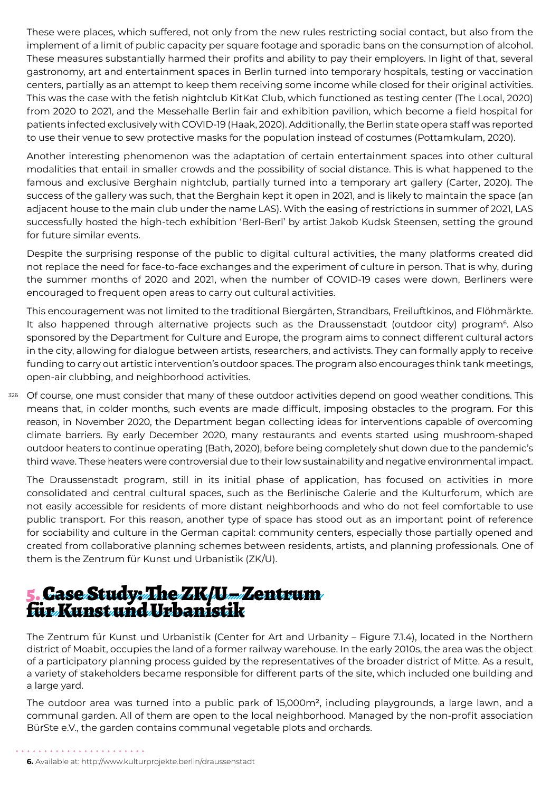These were places, which suffered, not only from the new rules restricting social contact, but also from the implement of a limit of public capacity per square footage and sporadic bans on the consumption of alcohol. These measures substantially harmed their profits and ability to pay their employers. In light of that, several gastronomy, art and entertainment spaces in Berlin turned into temporary hospitals, testing or vaccination centers, partially as an attempt to keep them receiving some income while closed for their original activities. This was the case with the fetish nightclub KitKat Club, which functioned as testing center (The Local, 2020) from 2020 to 2021, and the Messehalle Berlin fair and exhibition pavilion, which become a field hospital for patients infected exclusively with COVID-19 (Haak, 2020). Additionally, the Berlin state opera staff was reported to use their venue to sew protective masks for the population instead of costumes (Pottamkulam, 2020).

Another interesting phenomenon was the adaptation of certain entertainment spaces into other cultural modalities that entail in smaller crowds and the possibility of social distance. This is what happened to the famous and exclusive Berghain nightclub, partially turned into a temporary art gallery (Carter, 2020). The success of the gallery was such, that the Berghain kept it open in 2021, and is likely to maintain the space (an adjacent house to the main club under the name LAS). With the easing of restrictions in summer of 2021, LAS successfully hosted the high-tech exhibition 'Berl-Berl' by artist Jakob Kudsk Steensen, setting the ground for future similar events.

Despite the surprising response of the public to digital cultural activities, the many platforms created did not replace the need for face-to-face exchanges and the experiment of culture in person. That is why, during the summer months of 2020 and 2021, when the number of COVID-19 cases were down, Berliners were encouraged to frequent open areas to carry out cultural activities.

This encouragement was not limited to the traditional Biergärten, Strandbars, Freiluftkinos, and Flöhmärkte. It also happened through alternative projects such as the Draussenstadt (outdoor city) program<sup>6</sup>. Also sponsored by the Department for Culture and Europe, the program aims to connect different cultural actors in the city, allowing for dialogue between artists, researchers, and activists. They can formally apply to receive funding to carry out artistic intervention's outdoor spaces. The program also encourages think tank meetings, open-air clubbing, and neighborhood activities.

326 Of course, one must consider that many of these outdoor activities depend on good weather conditions. This means that, in colder months, such events are made difficult, imposing obstacles to the program. For this reason, in November 2020, the Department began collecting ideas for interventions capable of overcoming climate barriers. By early December 2020, many restaurants and events started using mushroom-shaped outdoor heaters to continue operating (Bath, 2020), before being completely shut down due to the pandemic's third wave. These heaters were controversial due to their low sustainability and negative environmental impact.

The Draussenstadt program, still in its initial phase of application, has focused on activities in more consolidated and central cultural spaces, such as the Berlinische Galerie and the Kulturforum, which are not easily accessible for residents of more distant neighborhoods and who do not feel comfortable to use public transport. For this reason, another type of space has stood out as an important point of reference for sociability and culture in the German capital: community centers, especially those partially opened and created from collaborative planning schemes between residents, artists, and planning professionals. One of them is the Zentrum für Kunst und Urbanistik (ZK/U).

### 5. Case Study: The ZK/U – Zentrum für Kunst und Urbanistik

The Zentrum für Kunst und Urbanistik (Center for Art and Urbanity – Figure 7.1.4), located in the Northern district of Moabit, occupies the land of a former railway warehouse. In the early 2010s, the area was the object of a participatory planning process guided by the representatives of the broader district of Mitte. As a result, a variety of stakeholders became responsible for different parts of the site, which included one building and a large yard.

The outdoor area was turned into a public park of 15,000m<sup>2</sup>, including playgrounds, a large lawn, and a communal garden. All of them are open to the local neighborhood. Managed by the non-profit association BürSte e.V., the garden contains communal vegetable plots and orchards.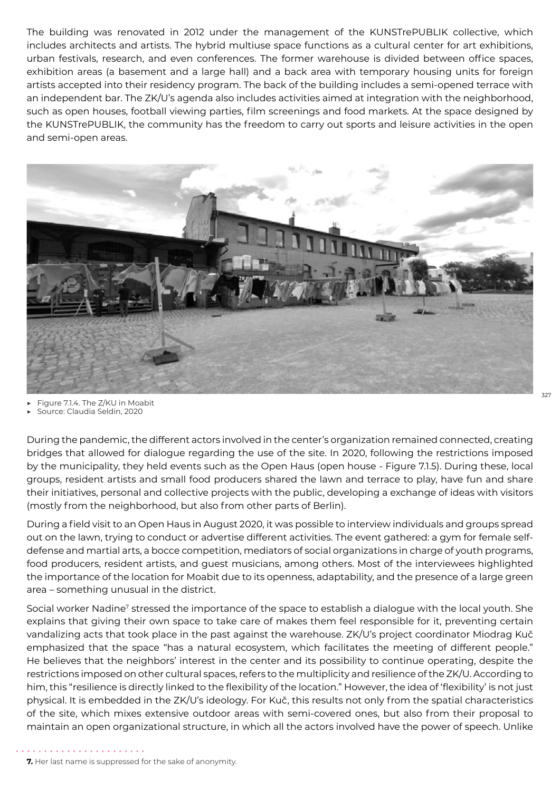The building was renovated in 2012 under the management of the KUNSTrePUBLIK collective, which includes architects and artists. The hybrid multiuse space functions as a cultural center for art exhibitions, urban festivals, research, and even conferences. The former warehouse is divided between office spaces, exhibition areas (a basement and a large hall) and a back area with temporary housing units for foreign artists accepted into their residency program. The back of the building includes a semi-opened terrace with an independent bar. The ZK/U's agenda also includes activities aimed at integration with the neighborhood, such as open houses, football viewing parties, film screenings and food markets. At the space designed by the KUNSTrePUBLIK, the community has the freedom to carry out sports and leisure activities in the open and semi-open areas.



- Figure 7.1.4. The Z/KU in Moabit
- Source: Claudia Seldin, 2020

During the pandemic, the different actors involved in the center's organization remained connected, creating bridges that allowed for dialogue regarding the use of the site. In 2020, following the restrictions imposed by the municipality, they held events such as the Open Haus (open house - Figure 7.1.5). During these, local groups, resident artists and small food producers shared the lawn and terrace to play, have fun and share their initiatives, personal and collective projects with the public, developing a exchange of ideas with visitors (mostly from the neighborhood, but also from other parts of Berlin).

During a field visit to an Open Haus in August 2020, it was possible to interview individuals and groups spread out on the lawn, trying to conduct or advertise different activities. The event gathered: a gym for female selfdefense and martial arts, a bocce competition, mediators of social organizations in charge of youth programs, food producers, resident artists, and guest musicians, among others. Most of the interviewees highlighted the importance of the location for Moabit due to its openness, adaptability, and the presence of a large green area – something unusual in the district.

Social worker Nadine<sup>7</sup> stressed the importance of the space to establish a dialogue with the local youth. She explains that giving their own space to take care of makes them feel responsible for it, preventing certain vandalizing acts that took place in the past against the warehouse. ZK/U's project coordinator Miodrag Kuč emphasized that the space "has a natural ecosystem, which facilitates the meeting of different people." He believes that the neighbors' interest in the center and its possibility to continue operating, despite the restrictions imposed on other cultural spaces, refers to the multiplicity and resilience of the ZK/U. According to him, this "resilience is directly linked to the flexibility of the location." However, the idea of 'flexibility' is not just physical. It is embedded in the ZK/U's ideology. For Kuč, this results not only from the spatial characteristics of the site, which mixes extensive outdoor areas with semi-covered ones, but also from their proposal to maintain an open organizational structure, in which all the actors involved have the power of speech. Unlike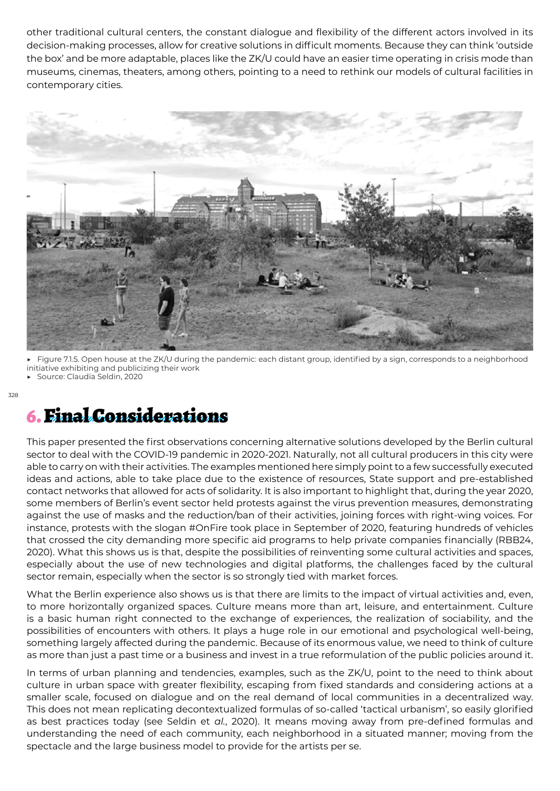other traditional cultural centers, the constant dialogue and flexibility of the different actors involved in its decision-making processes, allow for creative solutions in difficult moments. Because they can think 'outside the box' and be more adaptable, places like the ZK/U could have an easier time operating in crisis mode than museums, cinemas, theaters, among others, pointing to a need to rethink our models of cultural facilities in contemporary cities.



Figure 7.1.5. Open house at the ZK/U during the pandemic: each distant group, identified by a sign, corresponds to a neighborhood initiative exhibiting and publicizing their work Source: Claudia Seldin, 2020

### 6. Final Considerations

This paper presented the first observations concerning alternative solutions developed by the Berlin cultural sector to deal with the COVID-19 pandemic in 2020-2021. Naturally, not all cultural producers in this city were able to carry on with their activities. The examples mentioned here simply point to a few successfully executed ideas and actions, able to take place due to the existence of resources, State support and pre-established contact networks that allowed for acts of solidarity. It is also important to highlight that, during the year 2020, some members of Berlin's event sector held protests against the virus prevention measures, demonstrating against the use of masks and the reduction/ban of their activities, joining forces with right-wing voices. For instance, protests with the slogan #OnFire took place in September of 2020, featuring hundreds of vehicles that crossed the city demanding more specific aid programs to help private companies financially (RBB24, 2020). What this shows us is that, despite the possibilities of reinventing some cultural activities and spaces, especially about the use of new technologies and digital platforms, the challenges faced by the cultural sector remain, especially when the sector is so strongly tied with market forces.

What the Berlin experience also shows us is that there are limits to the impact of virtual activities and, even, to more horizontally organized spaces. Culture means more than art, leisure, and entertainment. Culture is a basic human right connected to the exchange of experiences, the realization of sociability, and the possibilities of encounters with others. It plays a huge role in our emotional and psychological well-being, something largely affected during the pandemic. Because of its enormous value, we need to think of culture as more than just a past time or a business and invest in a true reformulation of the public policies around it.

In terms of urban planning and tendencies, examples, such as the ZK/U, point to the need to think about culture in urban space with greater flexibility, escaping from fixed standards and considering actions at a smaller scale, focused on dialogue and on the real demand of local communities in a decentralized way. This does not mean replicating decontextualized formulas of so-called 'tactical urbanism', so easily glorified as best practices today (see Seldin et *al.*, 2020). It means moving away from pre-defined formulas and understanding the need of each community, each neighborhood in a situated manner; moving from the spectacle and the large business model to provide for the artists per se.